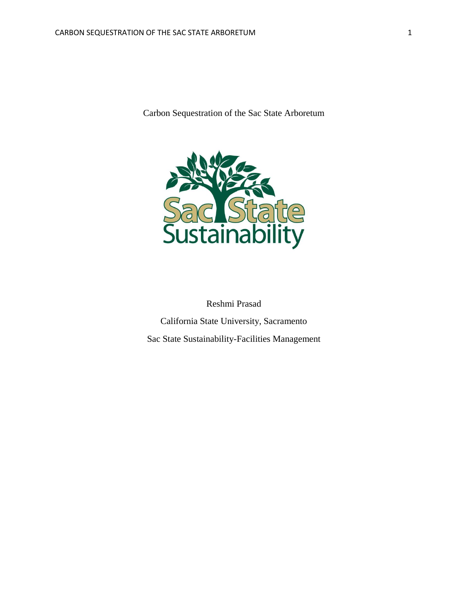Carbon Sequestration of the Sac State Arboretum



Reshmi Prasad California State University, Sacramento Sac State Sustainability-Facilities Management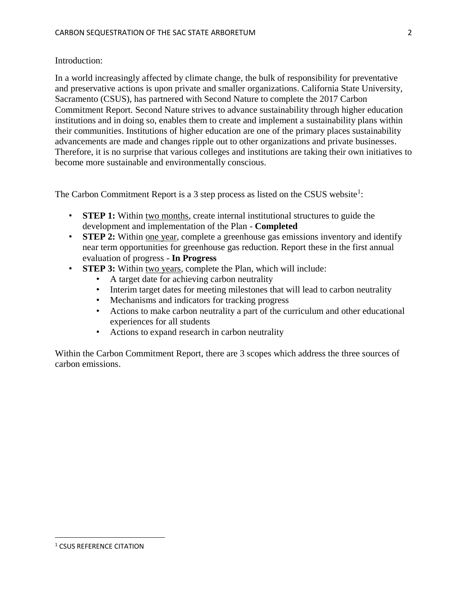### Introduction:

In a world increasingly affected by climate change, the bulk of responsibility for preventative and preservative actions is upon private and smaller organizations. California State University, Sacramento (CSUS), has partnered with Second Nature to complete the 2017 Carbon Commitment Report. Second Nature strives to advance sustainability through higher education institutions and in doing so, enables them to create and implement a sustainability plans within their communities. Institutions of higher education are one of the primary places sustainability advancements are made and changes ripple out to other organizations and private businesses. Therefore, it is no surprise that various colleges and institutions are taking their own initiatives to become more sustainable and environmentally conscious.

The Carbon Commitment Report is a 3 step process as listed on the CSUS website<sup>1</sup>:

- **STEP 1:** Within two months, create internal institutional structures to guide the development and implementation of the Plan - **Completed**
- **STEP 2:** Within one year, complete a greenhouse gas emissions inventory and identify near term opportunities for greenhouse gas reduction. Report these in the first annual evaluation of progress - **In Progress**
- **STEP 3:** Within two years, complete the Plan, which will include:
	- A target date for achieving carbon neutrality
	- Interim target dates for meeting milestones that will lead to carbon neutrality
	- Mechanisms and indicators for tracking progress
	- Actions to make carbon neutrality a part of the curriculum and other educational experiences for all students
	- Actions to expand research in carbon neutrality

Within the Carbon Commitment Report, there are 3 scopes which address the three sources of carbon emissions.

 $\overline{\phantom{a}}$ 

<sup>1</sup> CSUS REFERENCE CITATION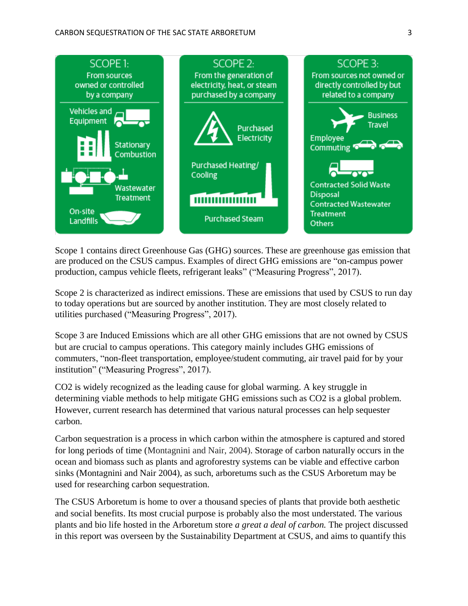

Scope 1 contains direct Greenhouse Gas (GHG) sources. These are greenhouse gas emission that are produced on the CSUS campus. Examples of direct GHG emissions are "on-campus power production, campus vehicle fleets, refrigerant leaks" ("Measuring Progress", 2017).

Scope 2 is characterized as indirect emissions. These are emissions that used by CSUS to run day to today operations but are sourced by another institution. They are most closely related to utilities purchased ("Measuring Progress", 2017).

Scope 3 are Induced Emissions which are all other GHG emissions that are not owned by CSUS but are crucial to campus operations. This category mainly includes GHG emissions of commuters, "non-fleet transportation, employee/student commuting, air travel paid for by your institution" ("Measuring Progress", 2017).

CO2 is widely recognized as the leading cause for global warming. A key struggle in determining viable methods to help mitigate GHG emissions such as CO2 is a global problem. However, current research has determined that various natural processes can help sequester carbon.

Carbon sequestration is a process in which carbon within the atmosphere is captured and stored for long periods of time (Montagnini and Nair, 2004). Storage of carbon naturally occurs in the ocean and biomass such as plants and agroforestry systems can be viable and effective carbon sinks (Montagnini and Nair 2004), as such, arboretums such as the CSUS Arboretum may be used for researching carbon sequestration.

The CSUS Arboretum is home to over a thousand species of plants that provide both aesthetic and social benefits. Its most crucial purpose is probably also the most understated. The various plants and bio life hosted in the Arboretum store *a great a deal of carbon.* The project discussed in this report was overseen by the Sustainability Department at CSUS, and aims to quantify this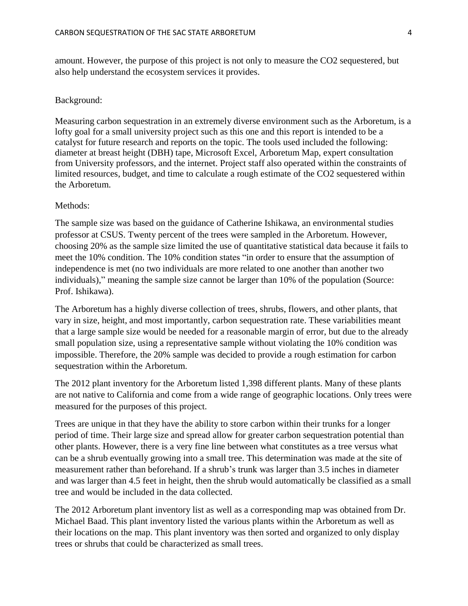amount. However, the purpose of this project is not only to measure the CO2 sequestered, but also help understand the ecosystem services it provides.

#### Background:

Measuring carbon sequestration in an extremely diverse environment such as the Arboretum, is a lofty goal for a small university project such as this one and this report is intended to be a catalyst for future research and reports on the topic. The tools used included the following: diameter at breast height (DBH) tape, Microsoft Excel, Arboretum Map, expert consultation from University professors, and the internet. Project staff also operated within the constraints of limited resources, budget, and time to calculate a rough estimate of the CO2 sequestered within the Arboretum.

#### Methods:

The sample size was based on the guidance of Catherine Ishikawa, an environmental studies professor at CSUS. Twenty percent of the trees were sampled in the Arboretum. However, choosing 20% as the sample size limited the use of quantitative statistical data because it fails to meet the 10% condition. The 10% condition states "in order to ensure that the assumption of independence is met (no two individuals are more related to one another than another two individuals)," meaning the sample size cannot be larger than 10% of the population (Source: Prof. Ishikawa).

The Arboretum has a highly diverse collection of trees, shrubs, flowers, and other plants, that vary in size, height, and most importantly, carbon sequestration rate. These variabilities meant that a large sample size would be needed for a reasonable margin of error, but due to the already small population size, using a representative sample without violating the 10% condition was impossible. Therefore, the 20% sample was decided to provide a rough estimation for carbon sequestration within the Arboretum.

The 2012 plant inventory for the Arboretum listed 1,398 different plants. Many of these plants are not native to California and come from a wide range of geographic locations. Only trees were measured for the purposes of this project.

Trees are unique in that they have the ability to store carbon within their trunks for a longer period of time. Their large size and spread allow for greater carbon sequestration potential than other plants. However, there is a very fine line between what constitutes as a tree versus what can be a shrub eventually growing into a small tree. This determination was made at the site of measurement rather than beforehand. If a shrub's trunk was larger than 3.5 inches in diameter and was larger than 4.5 feet in height, then the shrub would automatically be classified as a small tree and would be included in the data collected.

The 2012 Arboretum plant inventory list as well as a corresponding map was obtained from Dr. Michael Baad. This plant inventory listed the various plants within the Arboretum as well as their locations on the map. This plant inventory was then sorted and organized to only display trees or shrubs that could be characterized as small trees.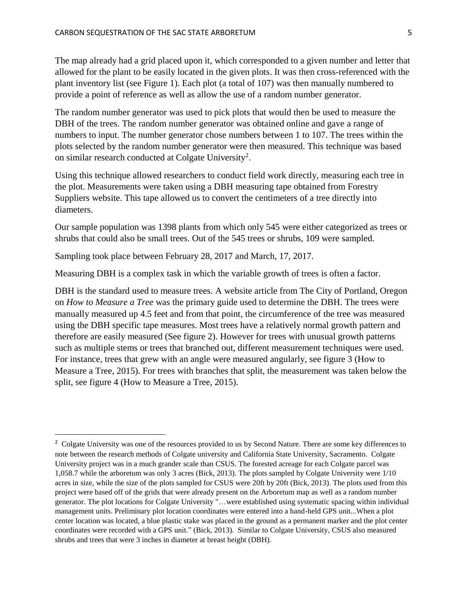The map already had a grid placed upon it, which corresponded to a given number and letter that allowed for the plant to be easily located in the given plots. It was then cross-referenced with the plant inventory list (see Figure 1). Each plot (a total of 107) was then manually numbered to provide a point of reference as well as allow the use of a random number generator.

The random number generator was used to pick plots that would then be used to measure the DBH of the trees. The random number generator was obtained online and gave a range of numbers to input. The number generator chose numbers between 1 to 107. The trees within the plots selected by the random number generator were then measured. This technique was based on similar research conducted at Colgate University<sup>2</sup>.

Using this technique allowed researchers to conduct field work directly, measuring each tree in the plot. Measurements were taken using a DBH measuring tape obtained from Forestry Suppliers website. This tape allowed us to convert the centimeters of a tree directly into diameters.

Our sample population was 1398 plants from which only 545 were either categorized as trees or shrubs that could also be small trees. Out of the 545 trees or shrubs, 109 were sampled.

Sampling took place between February 28, 2017 and March, 17, 2017.

 $\overline{\phantom{a}}$ 

Measuring DBH is a complex task in which the variable growth of trees is often a factor.

DBH is the standard used to measure trees. A website article from The City of Portland, Oregon on *How to Measure a Tree* was the primary guide used to determine the DBH. The trees were manually measured up 4.5 feet and from that point, the circumference of the tree was measured using the DBH specific tape measures. Most trees have a relatively normal growth pattern and therefore are easily measured (See figure 2). However for trees with unusual growth patterns such as multiple stems or trees that branched out, different measurement techniques were used. For instance, trees that grew with an angle were measured angularly, see figure 3 (How to Measure a Tree, 2015). For trees with branches that split, the measurement was taken below the split, see figure 4 (How to Measure a Tree, 2015).

<sup>&</sup>lt;sup>2</sup> Colgate University was one of the resources provided to us by Second Nature. There are some key differences to note between the research methods of Colgate university and California State University, Sacramento. Colgate University project was in a much grander scale than CSUS. The forested acreage for each Colgate parcel was 1,058.7 while the arboretum was only 3 acres (Bick, 2013). The plots sampled by Colgate University were 1/10 acres in size, while the size of the plots sampled for CSUS were 20ft by 20ft (Bick, 2013). The plots used from this project were based off of the grids that were already present on the Arboretum map as well as a random number generator. The plot locations for Colgate University "…were established using systematic spacing within individual management units. Preliminary plot location coordinates were entered into a hand-held GPS unit...When a plot center location was located, a blue plastic stake was placed in the ground as a permanent marker and the plot center coordinates were recorded with a GPS unit." (Bick, 2013). Similar to Colgate University, CSUS also measured shrubs and trees that were 3 inches in diameter at breast height (DBH).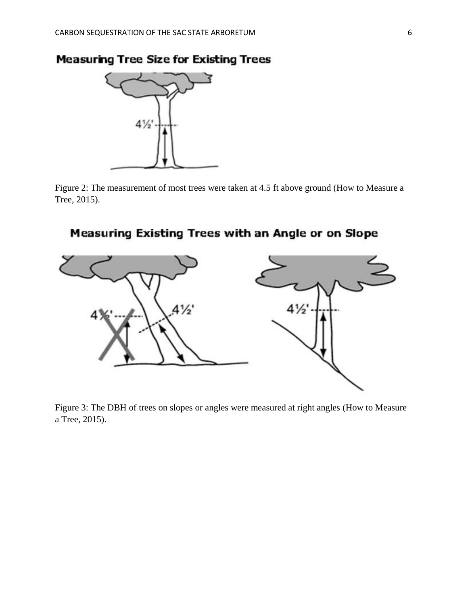

Figure 2: The measurement of most trees were taken at 4.5 ft above ground (How to Measure a Tree, 2015).

# Measuring Existing Trees with an Angle or on Slope



Figure 3: The DBH of trees on slopes or angles were measured at right angles (How to Measure a Tree, 2015).

# **Measuring Tree Size for Existing Trees**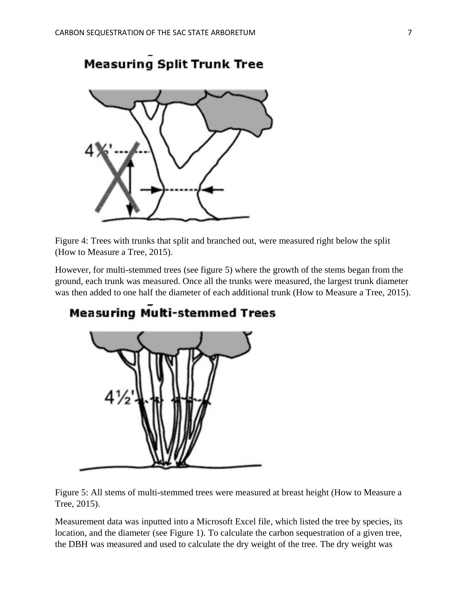

**Measuring Split Trunk Tree** 

Figure 4: Trees with trunks that split and branched out, were measured right below the split (How to Measure a Tree, 2015).

However, for multi-stemmed trees (see figure 5) where the growth of the stems began from the ground, each trunk was measured. Once all the trunks were measured, the largest trunk diameter was then added to one half the diameter of each additional trunk (How to Measure a Tree, 2015).



# **Measuring Multi-stemmed Trees**

Figure 5: All stems of multi-stemmed trees were measured at breast height (How to Measure a Tree, 2015).

Measurement data was inputted into a Microsoft Excel file, which listed the tree by species, its location, and the diameter (see Figure 1). To calculate the carbon sequestration of a given tree, the DBH was measured and used to calculate the dry weight of the tree. The dry weight was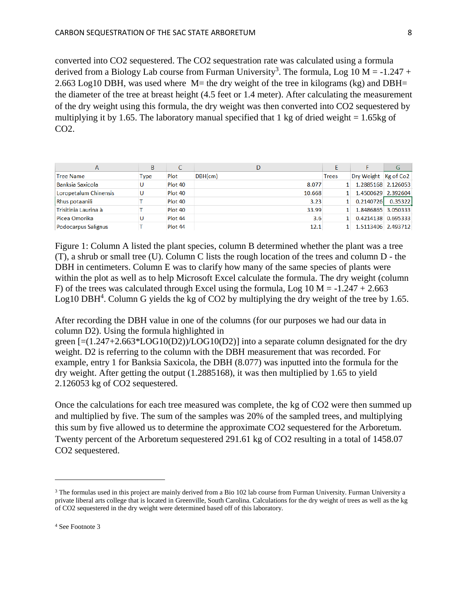converted into CO2 sequestered. The CO2 sequestration rate was calculated using a formula derived from a Biology Lab course from Furman University<sup>3</sup>. The formula, Log 10 M = -1.247 + 2.663 Log10 DBH, was used where  $M$  = the dry weight of the tree in kilograms (kg) and DBH= the diameter of the tree at breast height (4.5 feet or 1.4 meter). After calculating the measurement of the dry weight using this formula, the dry weight was then converted into CO2 sequestered by multiplying it by 1.65. The laboratory manual specified that 1 kg of dried weight =  $1.65$ kg of CO2.

| A                       | В    |         | D       |              |                      | G       |
|-------------------------|------|---------|---------|--------------|----------------------|---------|
| <b>Tree Name</b>        | Type | Plot    | DBH(cm) | <b>Trees</b> | Dry Weight Kg of Co2 |         |
| <b>Banksia Saxicola</b> | U    | Plot 40 | 8.077   |              | 1.2885168 2.126053   |         |
| Loropetalum Chinensis   | U    | Plot 40 | 10.668  |              | 1.4500629 2.392604   |         |
| <b>Rhus potaanili</b>   |      | Plot 40 | 3.23    |              | 0.2140726            | 0.35322 |
| Trisitinia Laurina à    |      | Plot 40 | 33.99   |              | 1.8486865 3.050333   |         |
| <b>Picea Omorika</b>    | U    | Plot 44 | 3.6     |              | 0.4214138 0.695333   |         |
| Podocarpus Salignus     |      | Plot 44 | 12.1    |              | 1.5113406 2.493712   |         |

Figure 1: Column A listed the plant species, column B determined whether the plant was a tree (T), a shrub or small tree (U). Column C lists the rough location of the trees and column D - the DBH in centimeters. Column E was to clarify how many of the same species of plants were within the plot as well as to help Microsoft Excel calculate the formula. The dry weight (column F) of the trees was calculated through Excel using the formula, Log  $10 M = -1.247 + 2.663$ Log10 DBH<sup>4</sup>. Column G yields the kg of CO2 by multiplying the dry weight of the tree by 1.65.

After recording the DBH value in one of the columns (for our purposes we had our data in column D2). Using the formula highlighted in

green  $[=(1.247+2.663*LOG10(D2))/LOG10(D2)]$  into a separate column designated for the dry weight. D2 is referring to the column with the DBH measurement that was recorded. For example, entry 1 for Banksia Saxicola, the DBH (8.077) was inputted into the formula for the dry weight. After getting the output (1.2885168), it was then multiplied by 1.65 to yield 2.126053 kg of CO2 sequestered.

Once the calculations for each tree measured was complete, the kg of CO2 were then summed up and multiplied by five. The sum of the samples was 20% of the sampled trees, and multiplying this sum by five allowed us to determine the approximate CO2 sequestered for the Arboretum. Twenty percent of the Arboretum sequestered 291.61 kg of CO2 resulting in a total of 1458.07 CO2 sequestered.

 $\overline{a}$ 

<sup>&</sup>lt;sup>3</sup> The formulas used in this project are mainly derived from a Bio 102 lab course from Furman University. Furman University a private liberal arts college that is located in Greenville, South Carolina. Calculations for the dry weight of trees as well as the kg of CO2 sequestered in the dry weight were determined based off of this laboratory.

<sup>4</sup> See Footnote 3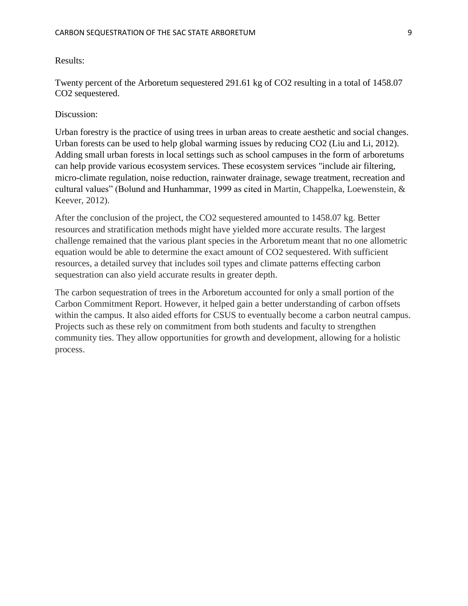Results:

Twenty percent of the Arboretum sequestered 291.61 kg of CO2 resulting in a total of 1458.07 CO2 sequestered.

### Discussion:

Urban forestry is the practice of using trees in urban areas to create aesthetic and social changes. Urban forests can be used to help global warming issues by reducing CO2 (Liu and Li, 2012). Adding small urban forests in local settings such as school campuses in the form of arboretums can help provide various ecosystem services. These ecosystem services "include air filtering, micro-climate regulation, noise reduction, rainwater drainage, sewage treatment, recreation and cultural values" (Bolund and Hunhammar, 1999 as cited in Martin, Chappelka, Loewenstein, & Keever, 2012).

After the conclusion of the project, the CO2 sequestered amounted to 1458.07 kg. Better resources and stratification methods might have yielded more accurate results. The largest challenge remained that the various plant species in the Arboretum meant that no one allometric equation would be able to determine the exact amount of CO2 sequestered. With sufficient resources, a detailed survey that includes soil types and climate patterns effecting carbon sequestration can also yield accurate results in greater depth.

The carbon sequestration of trees in the Arboretum accounted for only a small portion of the Carbon Commitment Report. However, it helped gain a better understanding of carbon offsets within the campus. It also aided efforts for CSUS to eventually become a carbon neutral campus. Projects such as these rely on commitment from both students and faculty to strengthen community ties. They allow opportunities for growth and development, allowing for a holistic process.